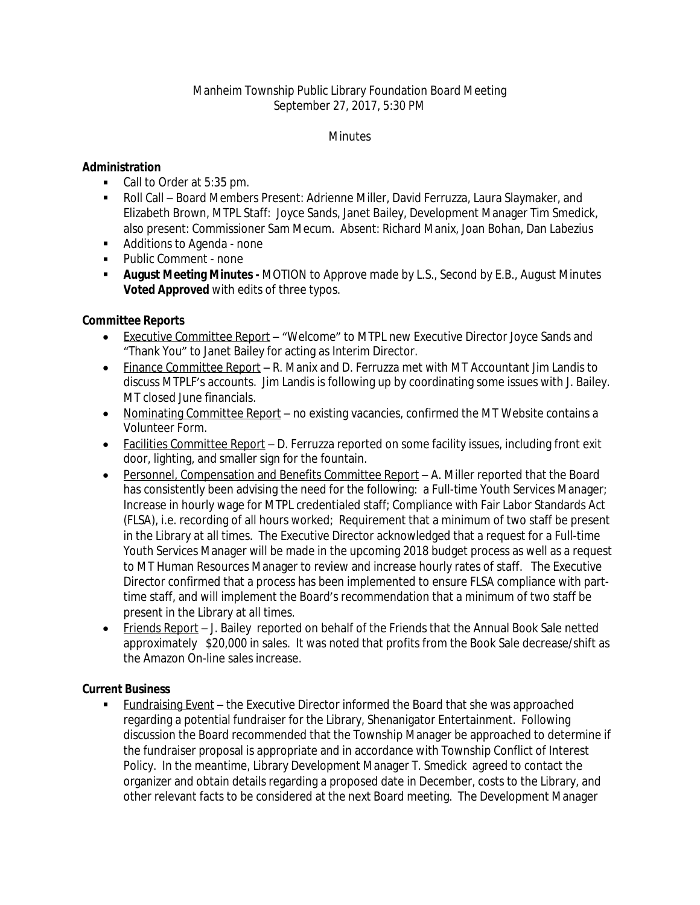# Manheim Township Public Library Foundation Board Meeting September 27, 2017, 5:30 PM

#### **Minutes**

### **Administration**

- Call to Order at 5:35 pm.
- Roll Call Board Members Present: Adrienne Miller, David Ferruzza, Laura Slaymaker, and Elizabeth Brown, MTPL Staff: Joyce Sands, Janet Bailey, Development Manager Tim Smedick, also present: Commissioner Sam Mecum. Absent: Richard Manix, Joan Bohan, Dan Labezius
- Additions to Agenda none
- Public Comment none
- **August Meeting Minutes** MOTION to Approve made by L.S., Second by E.B., August Minutes **Voted Approved** with edits of three typos.

# **Committee Reports**

- Executive Committee Report "Welcome" to MTPL new Executive Director Joyce Sands and "Thank You" to Janet Bailey for acting as Interim Director.
- Finance Committee Report R. Manix and D. Ferruzza met with MT Accountant Jim Landis to discuss MTPLF's accounts. Jim Landis is following up by coordinating some issues with J. Bailey. MT closed June financials.
- Nominating Committee Report no existing vacancies, confirmed the MT Website contains a Volunteer Form.
- Facilities Committee Report D. Ferruzza reported on some facility issues, including front exit door, lighting, and smaller sign for the fountain.
- Personnel, Compensation and Benefits Committee Report A. Miller reported that the Board has consistently been advising the need for the following: a Full-time Youth Services Manager; Increase in hourly wage for MTPL credentialed staff; Compliance with Fair Labor Standards Act (FLSA), i.e. recording of all hours worked; Requirement that a minimum of two staff be present in the Library at all times. The Executive Director acknowledged that a request for a Full-time Youth Services Manager will be made in the upcoming 2018 budget process as well as a request to MT Human Resources Manager to review and increase hourly rates of staff. The Executive Director confirmed that a process has been implemented to ensure FLSA compliance with parttime staff, and will implement the Board's recommendation that a minimum of two staff be present in the Library at all times.
- Friends Report J. Bailey reported on behalf of the Friends that the Annual Book Sale netted approximately \$20,000 in sales. It was noted that profits from the Book Sale decrease/shift as the Amazon On-line sales increase.

### **Current Business**

 Fundraising Event – the Executive Director informed the Board that she was approached regarding a potential fundraiser for the Library, Shenanigator Entertainment. Following discussion the Board recommended that the Township Manager be approached to determine if the fundraiser proposal is appropriate and in accordance with Township Conflict of Interest Policy. In the meantime, Library Development Manager T. Smedick agreed to contact the organizer and obtain details regarding a proposed date in December, costs to the Library, and other relevant facts to be considered at the next Board meeting. The Development Manager